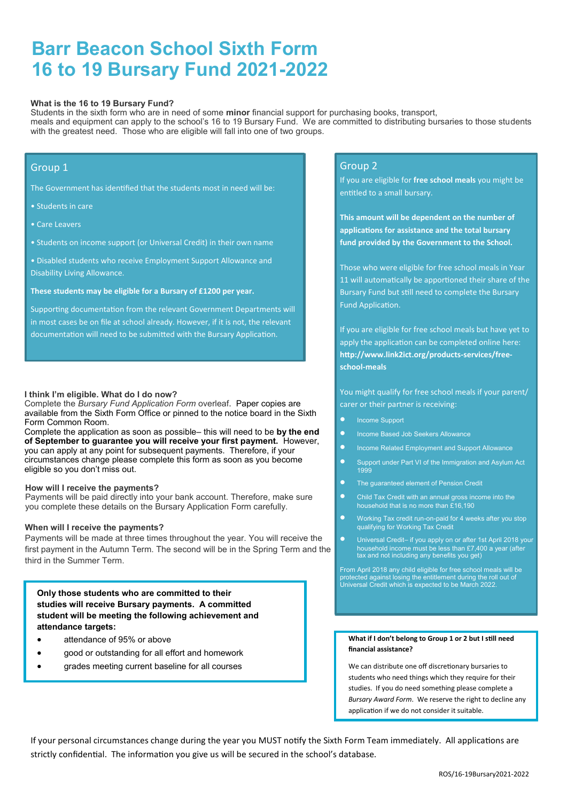# **Barr Beacon School Sixth Form 16 to 19 Bursary Fund 2021-2022**

#### **What is the 16 to 19 Bursary Fund?**

Students in the sixth form who are in need of some **minor** financial support for purchasing books, transport, meals and equipment can apply to the school's 16 to 19 Bursary Fund. We are committed to distributing bursaries to those students with the greatest need. Those who are eligible will fall into one of two groups.

## Group 1

The Government has identified that the students most in need will be:

- Students in care
- Care Leavers
- Students on income support (or Universal Credit) in their own name
- Disabled students who receive Employment Support Allowance and Disability Living Allowance.

#### **These students may be eligible for a Bursary of £1200 per year.**

Supporting documentation from the relevant Government Departments will in most cases be on file at school already. However, if it is not, the relevant documentation will need to be submitted with the Bursary Application.

#### **I think I'm eligible. What do I do now?**

Complete the *Bursary Fund Application Form* overleaf. Paper copies are available from the Sixth Form Office or pinned to the notice board in the Sixth Form Common Room.

Complete the application as soon as possible– this will need to be **by the end of September to guarantee you will receive your first payment.** However, you can apply at any point for subsequent payments. Therefore, if your circumstances change please complete this form as soon as you become eligible so you don't miss out.

#### **How will I receive the payments?**

Payments will be paid directly into your bank account. Therefore, make sure you complete these details on the Bursary Application Form carefully.

#### **When will I receive the payments?**

Payments will be made at three times throughout the year. You will receive the first payment in the Autumn Term. The second will be in the Spring Term and the third in the Summer Term.

#### **Only those students who are committed to their studies will receive Bursary payments. A committed student will be meeting the following achievement and attendance targets:**

- attendance of 95% or above
- good or outstanding for all effort and homework
- grades meeting current baseline for all courses

## Group 2

If you are eligible for **free school meals** you might be entitled to a small bursary.

**This amount will be dependent on the number of applications for assistance and the total bursary fund provided by the Government to the School.**

Those who were eligible for free school meals in Year 11 will automatically be apportioned their share of the Bursary Fund but still need to complete the Bursary Fund Application.

If you are eligible for free school meals but have yet to apply the application can be completed online here: **http://www.link2ict.org/products-services/freeschool-meals** 

You might qualify for free school meals if your parent/ carer or their partner is receiving:

- **•** Income Support
- **•** Income Based Job Seekers Allowance
- **Income Related Employment and Support Allowance**
- Support under Part VI of the Immigration and Asylum Act 1999
- **•** The guaranteed element of Pension Credit
- Child Tax Credit with an annual gross income into the household that is no more than £16,190
- Working Tax credit run-on-paid for 4 weeks after you stop qualifying for Working Tax Credit
- Universal Credit– if you apply on or after 1st April 2018 your household income must be less than £7,400 a year (after tax and not including any benefits you get)

From April 2018 any child eligible for free school meals will be protected against losing the entitlement during the roll out of Universal Credit which is expected to be March 2022.

#### **What if I don't belong to Group 1 or 2 but I still need financial assistance?**

We can distribute one off discretionary bursaries to students who need things which they require for their studies. If you do need something please complete a *Bursary Award Form*. We reserve the right to decline any application if we do not consider it suitable.

If your personal circumstances change during the year you MUST notify the Sixth Form Team immediately. All applications are strictly confidential. The information you give us will be secured in the school's database.